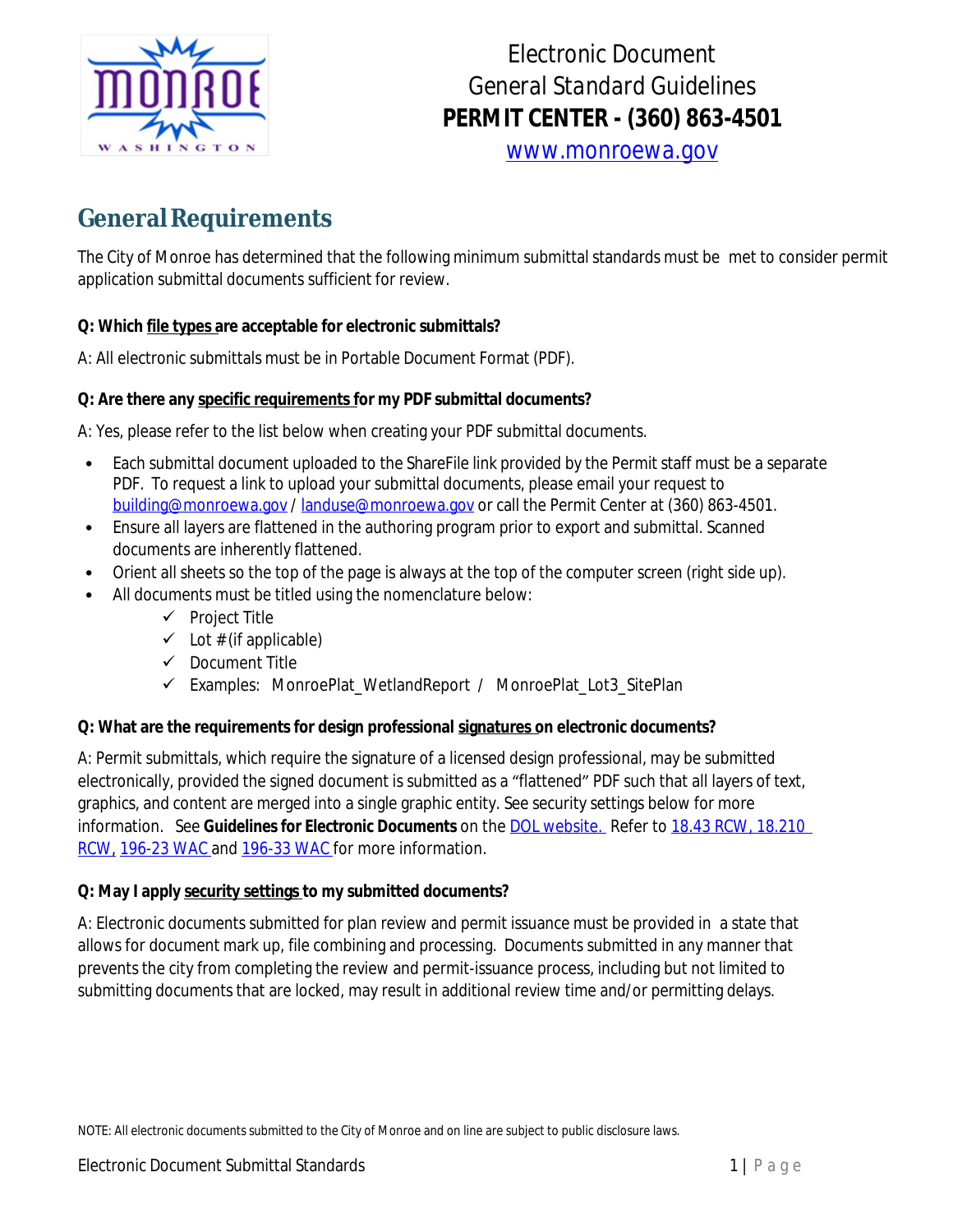

# *Electronic Document General Standard Guidelines PERMIT CENTER - (360) 863-4501*

*[www.monroewa.gov](http://www.monroewa.gov)*

## **GeneralRequirements**

The City of Monroe has determined that the following minimum submittal standards must be met to consider permit application submittal documents sufficient for review.

#### **Q: Which file types are acceptable for electronic submittals?**

A: All electronic submittals must be in Portable Document Format (PDF).

#### **Q: Are there any specific requirements for my PDF submittal documents?**

A: Yes, please refer to the list below when creating your PDF submittal documents.

- Each submittal document uploaded to the ShareFile link provided by the Permit staff must be a separate PDF. To request a link to upload your submittal documents, please email your request to [building@monroewa.gov](mailto:building@monroewa.gov) / [landuse@monroewa.gov](mailto:landuse@monroewa.gov) or call the Permit Center at (360) 863-4501.
- Ensure all layers are flattened in the authoring program prior to export and submittal. Scanned documents are inherently flattened.
- Orient all sheets so the top of the page is always at the top of the computer screen (right side up).
- All documents must be titled using the nomenclature below:
	- $\checkmark$  Project Title
	- $\checkmark$  Lot # (if applicable)
	- $\checkmark$  Document Title
	- Examples: MonroePlat\_WetlandReport / MonroePlat\_Lot3\_SitePlan

#### **Q: What are the requirements for design professional signatures on electronic documents?**

A: Permit submittals, which require the signature of a licensed design professional, may be submitted electronically, provided the signed document is submitted as a "flattened" PDF such that all layers of text, graphics, and content are merged into a single graphic entity. See security settings below for more information. See *Guidelines for Electronic Documents* on the DOL [website.](https://www.dol.wa.gov/) Refer to [18.43](https://app.leg.wa.gov/rcw/default.aspx?cite=18.43) RCW, [18.210](https://app.leg.wa.gov/RCW/default.aspx?cite=18.210) RCW, [196-23](https://apps.leg.wa.gov/wac/default.aspx?cite=196-23) WAC and [196-33](https://app.leg.wa.gov/WAC/default.aspx?cite=196-23-070) WAC for more information.

#### **Q: May I apply security settings to my submitted documents?**

A: Electronic documents submitted for plan review and permit issuance must be provided in a state that allows for document mark up, file combining and processing. Documents submitted in any manner that prevents the city from completing the review and permit-issuance process, including but not limited to submitting documents that are locked, may result in additional review time and/or permitting delays.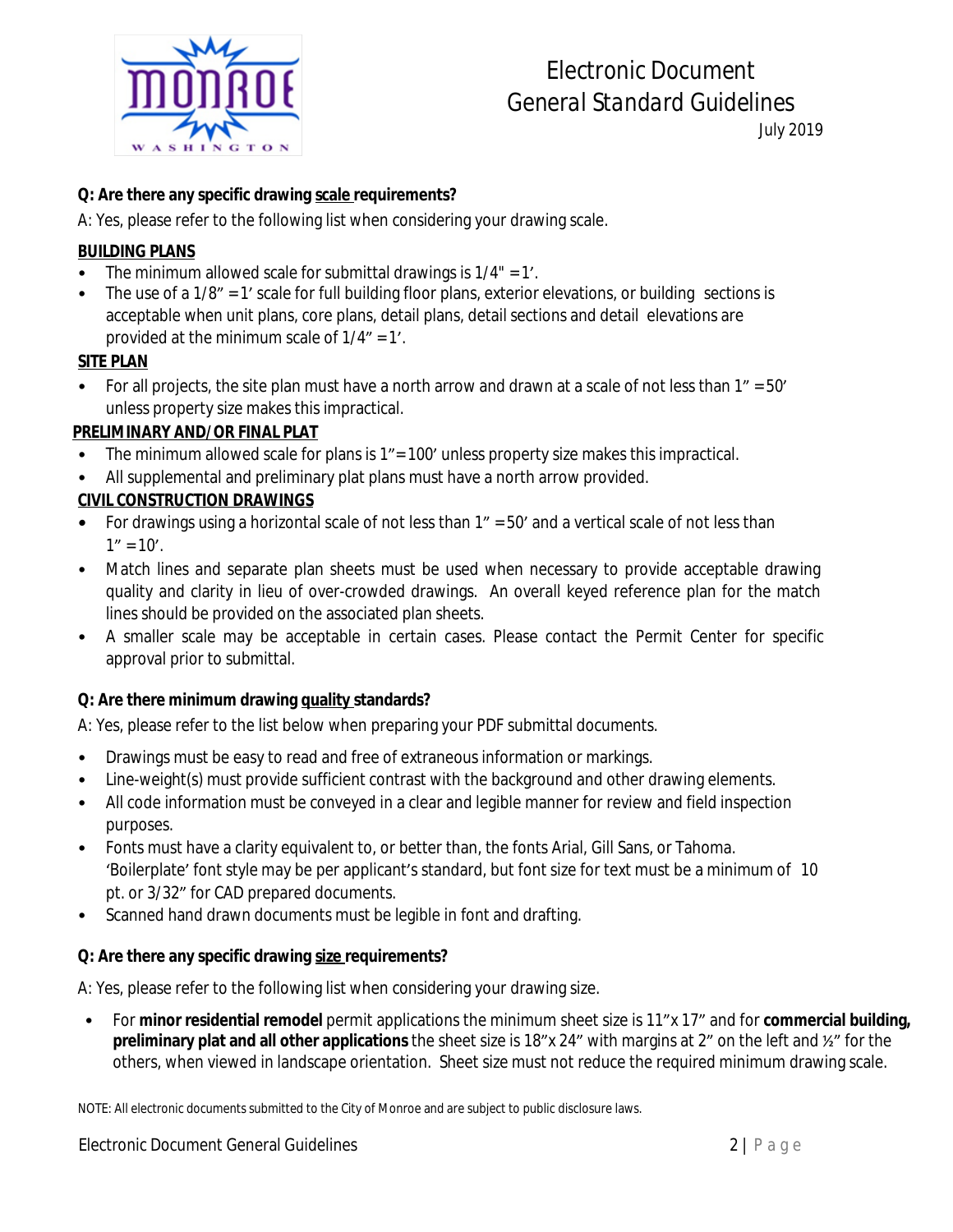

# *Electronic Document General Standard Guidelines*

*July 2019*

#### **Q: Are there any specific drawing scale requirements?**

A: Yes, please refer to the following list when considering your drawing scale.

#### *BUILDING PLANS*

- The minimum allowed scale for submittal drawings is 1/4" = 1'.
- The use of a 1/8" = 1' scale for full building floor plans, exterior elevations, or building sections is acceptable when unit plans, core plans, detail plans, detail sections and detail elevations are provided at the minimum scale of 1/4" = 1'.

#### *SITE PLAN*

• For all projects, the site plan must have a north arrow and drawn at a scale of not less than  $1'' = 50'$ unless property size makes this impractical.

#### *PRELIMINARY AND/OR FINAL PLAT*

- The minimum allowed scale for plans is 1" = 100' unless property size makes this impractical.
- All supplemental and preliminary plat plans must have a north arrow provided.

#### *CIVIL CONSTRUCTION DRAWINGS*

- For drawings using a horizontal scale of not less than 1" = 50' and a vertical scale of not less than  $1" = 10'.$
- Match lines and separate plan sheets must be used when necessary to provide acceptable drawing quality and clarity in lieu of over-crowded drawings. An overall keyed reference plan for the match lines should be provided on the associated plan sheets.
- A smaller scale may be acceptable in certain cases. Please contact the Permit Center for specific approval prior to submittal.

#### **Q: Are there minimum drawing quality standards?**

A: Yes, please refer to the list below when preparing your PDF submittal documents.

- Drawings must be easy to read and free of extraneous information or markings.
- Line-weight(s) must provide sufficient contrast with the background and other drawing elements.
- All code information must be conveyed in a clear and legible manner for review and field inspection purposes.
- Fonts must have a clarity equivalent to, or better than, the fonts Arial, Gill Sans, or Tahoma. 'Boilerplate' font style may be per applicant's standard, but font size for text must be a minimum of 10 pt. or 3/32" for CAD prepared documents.
- Scanned hand drawn documents must be legible in font and drafting.

#### **Q: Are there any specific drawing size requirements?**

A: Yes, please refer to the following list when considering your drawing size.

• For **minor residential remodel** permit applications the minimum sheet size is 11"x 17" and for **commercial building, preliminary plat and all other applications** the sheet size is 18"x 24" with margins at 2" on the left and ½" for the others, when viewed in landscape orientation. Sheet size must not reduce the required minimum drawing scale.

NOTE: All electronic documents submitted to the City of Monroe and are subject to public disclosure laws.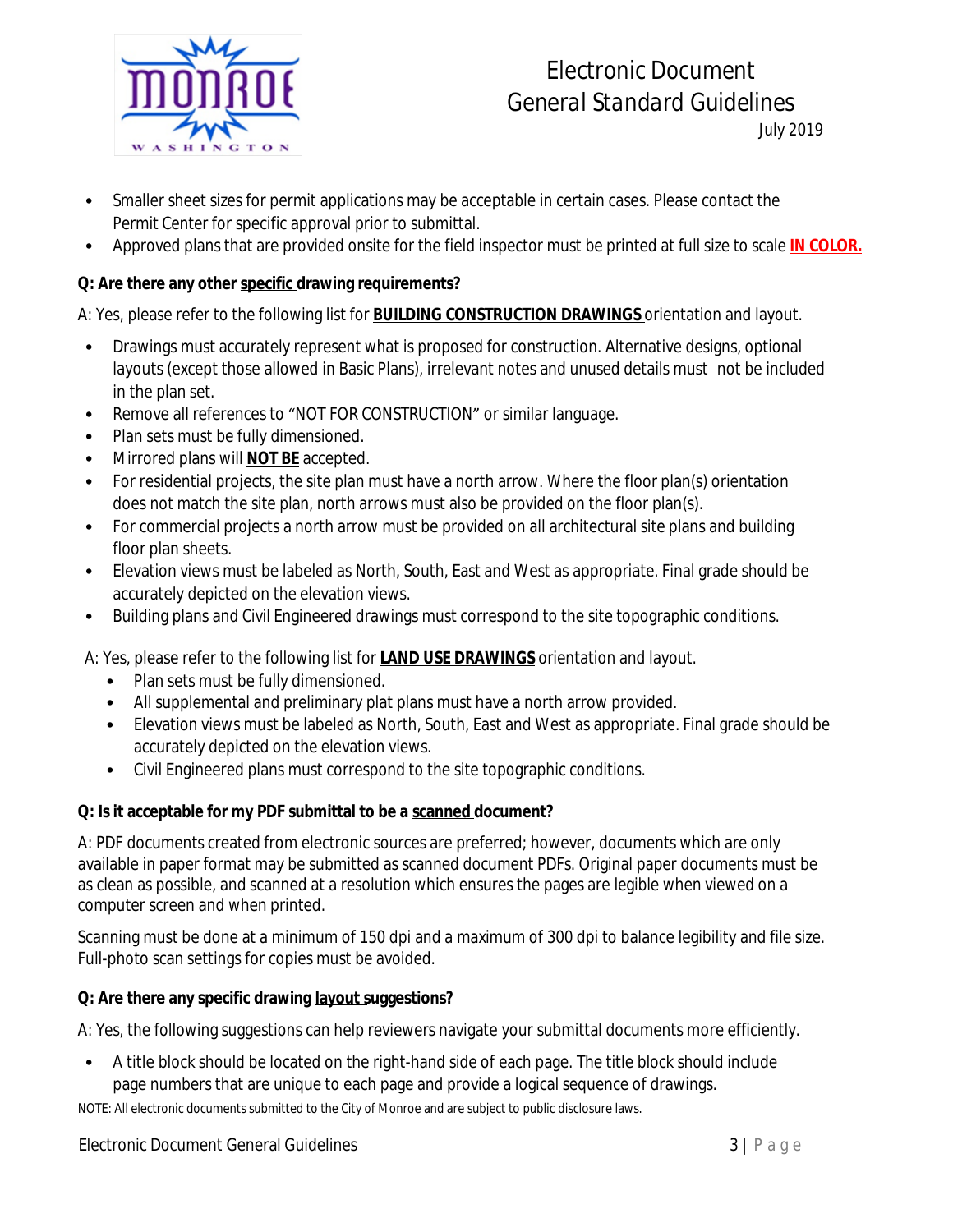

## *Electronic Document General Standard Guidelines*

*July 2019*

- Smaller sheet sizes for permit applications may be acceptable in certain cases. Please contact the Permit Center for specific approval prior to submittal.
- Approved plans that are provided onsite for the field inspector must be printed at full size to scale *IN COLOR.*

### **Q: Are there any other specific drawing requirements?**

A: Yes, please refer to the following list for *BUILDING CONSTRUCTION DRAWINGS* orientation and layout.

- Drawings must accurately represent what is proposed for construction. Alternative designs, optional layouts (except those allowed in Basic Plans), irrelevant notes and unused details must not be included in the plan set.
- Remove all references to "NOT FOR CONSTRUCTION" or similar language.
- Plan sets must be fully dimensioned.
- Mirrored plans will *NOT BE* accepted.
- For residential projects, the site plan must have a north arrow. Where the floor plan(s) orientation does not match the site plan, north arrows must also be provided on the floor plan(s).
- For commercial projects a north arrow must be provided on all architectural site plans and building floor plan sheets.
- Elevation views must be labeled as North, South, East and West as appropriate. Final grade should be accurately depicted on the elevation views.
- Building plans and Civil Engineered drawings must correspond to the site topographic conditions.

A: Yes, please refer to the following list for *LAND USE DRAWINGS* orientation and layout.

- Plan sets must be fully dimensioned.
- All supplemental and preliminary plat plans must have a north arrow provided.
- Elevation views must be labeled as North, South, East and West as appropriate. Final grade should be accurately depicted on the elevation views.
- Civil Engineered plans must correspond to the site topographic conditions.

### **Q: Is it acceptable for my PDF submittal to be a scanned document?**

A: PDF documents created from electronic sources are preferred; however, documents which are only available in paper format may be submitted as scanned document PDFs. Original paper documents must be as clean as possible, and scanned at a resolution which ensures the pages are legible when viewed on a computer screen and when printed.

Scanning must be done at a minimum of 150 dpi and a maximum of 300 dpi to balance legibility and file size. Full-photo scan settings for copies must be avoided.

### **Q: Are there any specific drawing layout suggestions?**

A: Yes, the following suggestions can help reviewers navigate your submittal documents more efficiently.

• A title block should be located on the right-hand side of each page. The title block should include page numbers that are unique to each page and provide a logical sequence of drawings.

NOTE: All electronic documents submitted to the City of Monroe and are subject to public disclosure laws.